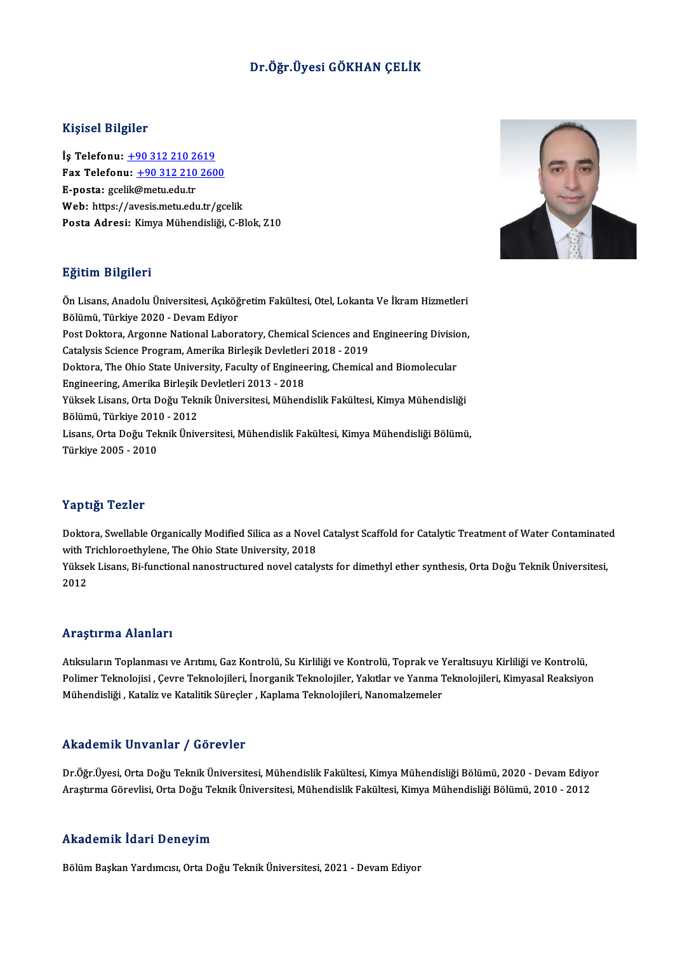## Dr.Öğr.Üyesi GÖKHAN ÇELİK

#### Kişisel Bilgiler

Kişisel Bilgiler<br>İş Telefonu: <u>+90 312 210 2619</u><br>Fax Telefonu: +90 212 210 260 1133001 2115101<br>İş Telefonu: <u>+90 312 210 2619</u><br>Fax Telefonu: <u>+90 312 210 2600</u> İş Telefonu: <u>+90 312 210 2</u><br>Fax Telefonu: <u>+90 312 210</u><br>E-posta: gcel[ik@metu.edu.tr](tel:+90 312 210 2619)<br>Web: https://avesis.metu.edu Fax Telefonu: <u>+90 312 210 2600</u><br>E-posta: gcelik@metu.edu.tr<br>Web: https://a[vesis.metu.edu.tr/gc](tel:+90 312 210 2600)elik<br>Posta Adresi: *Vimus Mühandisliği C* Pl E-posta: gcelik@metu.edu.tr<br>Web: https://avesis.metu.edu.tr/gcelik<br>Posta Adresi: Kimya Mühendisliği, C-Blok, Z10

#### Eğitim Bilgileri

**Eğitim Bilgileri**<br>Ön Lisans, Anadolu Üniversitesi, Açıköğretim Fakültesi, Otel, Lokanta Ve İkram Hizmetleri<br>Rölümü Türkiye 2020, Devam Ediyar Bölümü Bülğisti<br>Ön Lisans, Anadolu Üniversitesi, Açıköğ<br>Bölümü, Türkiye 2020 - Devam Ediyor<br>Pest Delters, Arsenne National Laber Ön Lisans, Anadolu Üniversitesi, Açıköğretim Fakültesi, Otel, Lokanta Ve İkram Hizmetleri<br>Bölümü, Türkiye 2020 - Devam Ediyor<br>Post Doktora, Argonne National Laboratory, Chemical Sciences and Engineering Division,<br>Cetelysis Bölümü, Türkiye 2020 - Devam Ediyor<br>Post Doktora, Argonne National Laboratory, Chemical Sciences and<br>Catalysis Science Program, Amerika Birleşik Devletleri 2018 - 2019<br>Poktora The Obje State University, Faculty of Engineer Post Doktora, Argonne National Laboratory, Chemical Sciences and Engineering Divisio<br>Catalysis Science Program, Amerika Birleşik Devletleri 2018 - 2019<br>Doktora, The Ohio State University, Faculty of Engineering, Chemical a Catalysis Science Program, Amerika Birleşik Devletleri<br>Doktora, The Ohio State University, Faculty of Enginee<br>Engineering, Amerika Birleşik Devletleri 2013 - 2018<br><sup>Vülgok Lisans, Orta Değu Tolmik Üniversitesi, Mühans</sup> Doktora, The Ohio State University, Faculty of Engineering, Chemical and Biomolecular<br>Engineering, Amerika Birleşik Devletleri 2013 - 2018<br>Yüksek Lisans, Orta Doğu Teknik Üniversitesi, Mühendislik Fakültesi, Kimya Mühendis Engineering, Amerika Birleşik Devletleri 2013 - 2018 Lisans, Orta Doğu Teknik Üniversitesi, Mühendislik Fakültesi, Kimya Mühendisliği Bölümü,<br>Türkiye 2005 - 2010 Bölümü, Türkiye 2010 - 2012

#### Yaptığı Tezler

Doktora, Swellable Organically Modified Silica as a Novel Catalyst Scaffold for Catalytic Treatment of Water Contaminated with Trichloroethylene, The Ohio State University, 2018 Doktora, Swellable Organically Modified Silica as a Novel Catalyst Scaffold for Catalytic Treatment of Water Contaminate<br>with Trichloroethylene, The Ohio State University, 2018<br>Yüksek Lisans, Bi-functional nanostructured n

with T<br>Yükse<br>2012

# Araştırma Alanları

Araştırma Alanları<br>Atıksuların Toplanması ve Arıtımı, Gaz Kontrolü, Su Kirliliği ve Kontrolü, Toprak ve Yeraltısuyu Kirliliği ve Kontrolü,<br>Pelimer Telmelejisi, *Corre Telmelejileri, İnersenik* Telmelejiler Yelrtler*ve Yenm* rri ayeri ina Friannari<br>Atıksuların Toplanması ve Arıtımı, Gaz Kontrolü, Su Kirliliği ve Kontrolü, Toprak ve Yeraltısuyu Kirliliği ve Kontrolü,<br>Polimer Teknolojisi , Çevre Teknolojileri, İnorganik Teknolojileri, Yakıtlar v Atıksuların Toplanması ve Arıtımı, Gaz Kontrolü, Su Kirliliği ve Kontrolü, Toprak ve Y<br>Polimer Teknolojisi , Çevre Teknolojileri, İnorganik Teknolojiler, Yakıtlar ve Yanma 1<br>Mühendisliği , Kataliz ve Katalitik Süreçler , K Mühendisliği , Kataliz ve Katalitik Süreçler , Kaplama Teknolojileri, Nanomalzemeler<br>Akademik Unvanlar / Görevler

Akademik Unvanlar / Görevler<br>Dr.Öğr.Üyesi, Orta Doğu Teknik Üniversitesi, Mühendislik Fakültesi, Kimya Mühendisliği Bölümü, 2020 - Devam Ediyor<br>Arastırma Görevlisi, Orta Doğu Teknik Üniversitesi, Mühendislik Fakültesi, Kim AraştırmaGörevlisi,OrtaDoğuTeknikÜniversitesi,MühendislikFakültesi,KimyaMühendisliğiBölümü,2010 -2012 Araştırma Görevlisi, Orta Doğu Teknik Üniversitesi, Mühendislik Fakültesi, Kimya Mühendisliği Bölümü, 2010 - 2012<br>Akademik İdari Deneyim

Bölüm Başkan Yardımcısı, Orta Doğu Teknik Üniversitesi, 2021 - Devam Ediyor

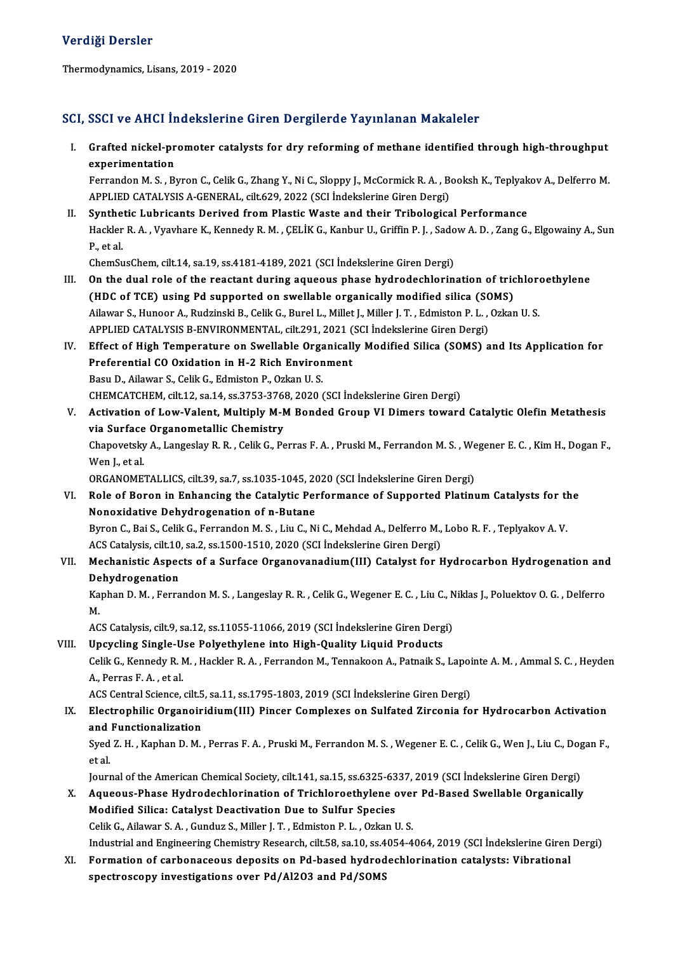#### Verdiği Dersler

Thermodynamics, Lisans, 2019 - 2020

### SCI, SSCI ve AHCI İndekslerine Giren Dergilerde Yayınlanan Makaleler

I. SSCI ve AHCI İndekslerine Giren Dergilerde Yayınlanan Makaleler<br>I. Grafted nickel-promoter catalysts for dry reforming of methane identified through high-throughput<br>Annonimantation experimentation<br>Grafted nickel-pr<br>Ecrranden M.S., Br Grafted nickel-promoter catalysts for dry reforming of methane identified through high-throughput<br>experimentation<br>Ferrandon M. S. , Byron C., Celik G., Zhang Y., Ni C., Sloppy J., McCormick R. A. , Booksh K., Teplyakov A.,

experimentation<br>Ferrandon M. S. , Byron C., Celik G., Zhang Y., Ni C., Sloppy J., McCormick R. A. , Booksh K., Teplyakov A., Delferro M.<br>APPLIED CATALYSIS A-GENERAL, cilt.629, 2022 (SCI İndekslerine Giren Dergi) Ferrandon M. S., Byron C., Celik G., Zhang Y., Ni C., Sloppy J., McCormick R. A., Booksh K., Teplyak<br>APPLIED CATALYSIS A-GENERAL, cilt.629, 2022 (SCI Indekslerine Giren Dergi)<br>II. Synthetic Lubricants Derived from Plastic

APPLIED CATALYSIS A-GENERAL, cilt.629, 2022 (SCI İndekslerine Giren Dergi)<br><mark>Synthetic Lubricants Derived from Plastic Waste and their Tribological Performance</mark><br>Hackler R. A. , Vyavhare K., Kennedy R. M. , ÇELİK G., Kanbur Synthe<br>Hackler<br>P., et al.<br>ChemSu Hackler R. A. , Vyavhare K., Kennedy R. M. , ÇELİK G., Kanbur U., Griffin P. J. , Sado<br>P., et al.<br>ChemSusChem, cilt.14, sa.19, ss.4181-4189, 2021 (SCI İndekslerine Giren Dergi)<br>On the dual rela of the reastant during asueo P., et al.<br>ChemSusChem, cilt.14, sa.19, ss.4181-4189, 2021 (SCI Indekslerine Giren Dergi)<br>III. On the dual role of the reactant during aqueous phase hydrodechlorination of trichloroethylene

- ChemSusChem, cilt.14, sa.19, ss.4181-4189, 2021 (SCI Indekslerine Giren Dergi)<br>On the dual role of the reactant during aqueous phase hydrodechlorination of tric<br>(HDC of TCE) using Pd supported on swellable organically modi On the dual role of the reactant during aqueous phase hydrodechlorination of trichlore<br>(HDC of TCE) using Pd supported on swellable organically modified silica (SOMS)<br>Ailawar S., Hunoor A., Rudzinski B., Celik G., Burel L. (HDC of TCE) using Pd supported on swellable organically modified silica (SC<br>Ailawar S., Hunoor A., Rudzinski B., Celik G., Burel L., Millet J., Miller J. T. , Edmiston P. L. ,<br>APPLIED CATALYSIS B-ENVIRONMENTAL, cilt.291, Ailawar S., Hunoor A., Rudzinski B., Celik G., Burel L., Millet J., Miller J. T. , Edmiston P. L. , Ozkan U. S.<br>APPLIED CATALYSIS B-ENVIRONMENTAL, cilt.291, 2021 (SCI Indekslerine Giren Dergi)<br>IV. Effect of High Temperatur
- APPLIED CATALYSIS B-ENVIRONMENTAL, cilt.291, 2021 (SCI Indekslerine Giren Dergi)<br>Effect of High Temperature on Swellable Organically Modified Silica (SOMS) a<br>Preferential CO Oxidation in H-2 Rich Environment<br>Basu D., Ailaw Preferential CO Oxidation in H-2 Rich Environment Preferential CO Oxidation in H-2 Rich Environment<br>Basu D., Ailawar S., Celik G., Edmiston P., Ozkan U. S.<br>CHEMCATCHEM, cilt.12, sa.14, ss.3753-3768, 2020 (SCI İndekslerine Giren Dergi)<br>Activation of Low Valent, Multiply M.
- V. Activation of Low-Valent, Multiply M-M Bonded Group VI Dimers toward Catalytic Olefin Metathesis<br>via Surface Organometallic Chemistry CHEMCATCHEM, cilt.12, sa.14, ss.3753-3768<br>Activation of Low-Valent, Multiply M-N<br>via Surface Organometallic Chemistry<br>Chanovately: A. Langsslav B. B. Collic C. Ba Activation of Low-Valent, Multiply M-M Bonded Group VI Dimers toward Catalytic Olefin Metathesis<br>via Surface Organometallic Chemistry<br>Chapovetsky A., Langeslay R. R. , Celik G., Perras F. A. , Pruski M., Ferrandon M. S. , **via Surface<br>Chapovetsky<br>Wen J., et al.<br>ORCANOME** Chapovetsky A., Langeslay R. R. , Celik G., Perras F. A. , Pruski M., Ferrandon M. S. , We<br>Wen J., et al.<br>ORGANOMETALLICS, cilt.39, sa.7, ss.1035-1045, 2020 (SCI İndekslerine Giren Dergi)<br>Pele of Peren in Enhanging the Cat Wen J., et al.<br>ORGANOMETALLICS, cilt.39, sa.7, ss.1035-1045, 2020 (SCI İndekslerine Giren Dergi)<br>VI. Role of Boron in Enhancing the Catalytic Performance of Supported Platinum Catalysts for the

Nonoxidative Dehydrogenation of n-Butane Role of Boron in Enhancing the Catalytic Performance of Supported Platinum Catalysts for the<br>Nonoxidative Dehydrogenation of n-Butane<br>Byron C., Bai S., Celik G., Ferrandon M. S. , Liu C., Ni C., Mehdad A., Delferro M., Lob

Nonoxidative Dehydrogenation of n-Butane<br>Byron C., Bai S., Celik G., Ferrandon M. S. , Liu C., Ni C., Mehdad A., Delferro M.,<br>ACS Catalysis, cilt.10, sa.2, ss.1500-1510, 2020 (SCI İndekslerine Giren Dergi)<br>Mechanistis, Asp Byron C., Bai S., Celik G., Ferrandon M. S. , Liu C., Ni C., Mehdad A., Delferro M., Lobo R. F. , Teplyakov A. V.<br>ACS Catalysis, cilt.10, sa.2, ss.1500-1510, 2020 (SCI Indekslerine Giren Dergi)<br>VII. Mechanistic Aspects of

## ACS Catalysis, cilt.10<br>Mechanistic Aspec<br>Dehydrogenation<br>Kanban D.M., Farra Mechanistic Aspects of a Surface Organovanadium(III) Catalyst for Hydrocarbon Hydrogenation and<br>Dehydrogenation<br>Kaphan D. M. , Ferrandon M. S. , Langeslay R. R. , Celik G., Wegener E. C. , Liu C., Niklas J., Poluektov O. G

De<br>Ka<br>M Kaphan D. M. , Ferrandon M. S. , Langeslay R. R. , Celik G., Wegener E. C. , Liu C., N.<br>2008.<br>ACS Catalysis, cilt.9, sa.12, ss.11055-11066, 2019 (SCI İndekslerine Giren Dergi)<br>Unaveline Single Use Polyathylane inte High Qu

# M.<br>ACS Catalysis, cilt.9, sa.12, ss.11055-11066, 2019 (SCI İndekslerine Giren Dergi)<br>VIII. Upcycling Single-Use Polyethylene into High-Quality Liquid Products

ACS Catalysis, cilt.9, sa.12, ss.11055-11066, 2019 (SCI İndekslerine Giren Dergi)<br>Upcycling Single-Use Polyethylene into High-Quality Liquid Products<br>Celik G., Kennedy R. M. , Hackler R. A. , Ferrandon M., Tennakoon A., Pa Upcycling Single-U<br>Celik G., Kennedy R. M.<br>A., Perras F. A. , et al. Celik G., Kennedy R. M. , Hackler R. A. , Ferrandon M., Tennakoon A., Patnaik S., Lapoi<br>A., Perras F. A. , et al.<br>ACS Central Science, cilt.5, sa.11, ss.1795-1803, 2019 (SCI İndekslerine Giren Dergi)<br>Flastrophilis Organoir

## A., Perras F. A. , et al.<br>ACS Central Science, cilt.5, sa.11, ss.1795-1803, 2019 (SCI İndekslerine Giren Dergi)<br>IX. Electrophilic Organoiridium(III) Pincer Complexes on Sulfated Zirconia for Hydrocarbon Activation<br>and Eunc ACS Central Science, cilt.5<br>Electrophilic Organoir<br>and Functionalization<br>Sued 7, H., Kaphan D. M. Electrophilic Organoiridium(III) Pincer Complexes on Sulfated Zirconia for Hydrocarbon Activation<br>and Functionalization<br>Syed Z. H. , Kaphan D. M. , Perras F. A. , Pruski M., Ferrandon M. S. , Wegener E. C. , Celik G., Wen

and<br>Syed<br>et al.<br>Jourr Syed Z. H. , Kaphan D. M. , Perras F. A. , Pruski M., Ferrandon M. S. , Wegener E. C. , Celik G., Wen J., Liu C., Dog<br>et al.<br>Journal of the American Chemical Society, cilt.141, sa.15, ss.6325-6337, 2019 (SCI İndekslerine G

et al.<br>Journal of the American Chemical Society, cilt.141, sa.15, ss.6325-6337, 2019 (SCI İndekslerine Giren Dergi)<br>X. Aqueous-Phase Hydrodechlorination of Trichloroethylene over Pd-Based Swellable Organically

- Journal of the American Chemical Society, cilt.141, sa.15, ss.6325-63<br>Aqueous-Phase Hydrodechlorination of Trichloroethylene c<br>Modified Silica: Catalyst Deactivation Due to Sulfur Species<br>Calik C. Ailowar S.A., Cundur S. M Aqueous-Phase Hydrodechlorination of Trichloroethylene over<br>Modified Silica: Catalyst Deactivation Due to Sulfur Species<br>Celik G., Ailawar S.A., Gunduz S., Miller J.T., Edmiston P.L., Ozkan U.S.<br>Industrial and Engineering Celik G., Ailawar S. A., Gunduz S., Miller J. T., Edmiston P. L., Ozkan U. S.<br>Industrial and Engineering Chemistry Research, cilt.58, sa.10, ss.4054-4064, 2019 (SCI İndekslerine Giren Dergi) Celik G., Ailawar S. A. , Gunduz S., Miller J. T. , Edmiston P. L. , Ozkan U. S.<br>Industrial and Engineering Chemistry Research, cilt.58, sa.10, ss.4054-4064, 2019 (SCI Indekslerine Giren<br>XI. Formation of carbonaceous depos
- Industrial and Engineering Chemistry Research, cilt.58, sa.10, ss.4<br>Formation of carbonaceous deposits on Pd-based hydrod<br>spectroscopy investigations over Pd/Al2O3 and Pd/SOMS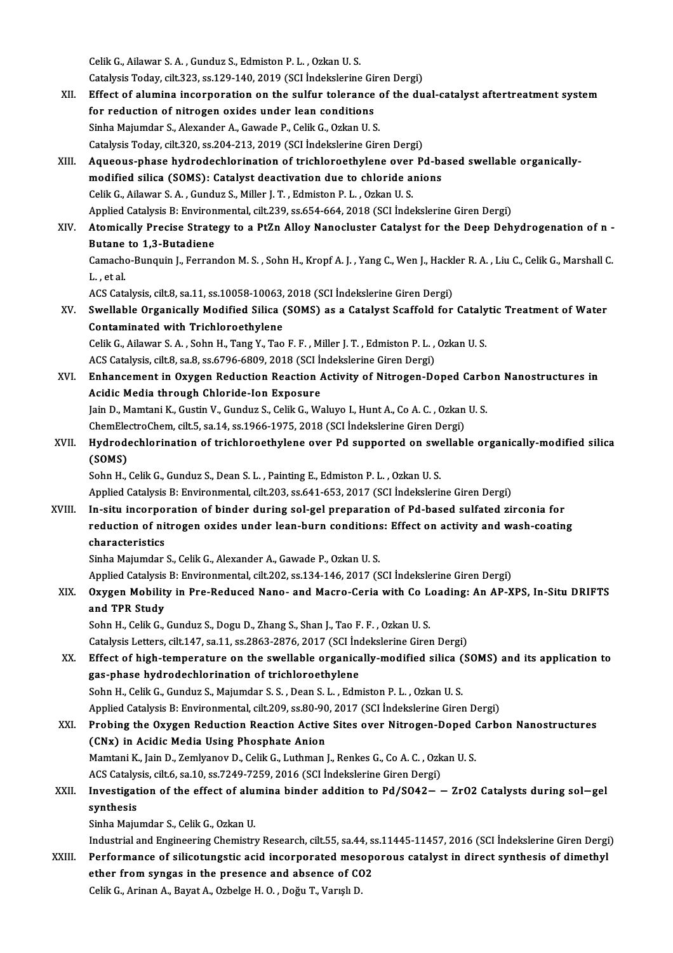CelikG.,Ailawar S.A. ,Gunduz S.,EdmistonP.L. ,OzkanU.S. Celik G., Ailawar S. A. , Gunduz S., Edmiston P. L. , Ozkan U. S.<br>Catalysis Today, cilt.323, ss.129-140, 2019 (SCI İndekslerine Giren Dergi)<br>Effect of alumine incorporation on the sulfur televanes of the du XII. Effect of alumina incorporation on the sulfur tolerance of the dual-catalyst aftertreatment system<br>for reduction of nitrogen oxides under lean conditions Catalysis Today, cilt.323, ss.129-140, 2019 (SCI Indekslerine Giumente di Effect of alumina incorporation on the sulfur tolerance<br>for reduction of nitrogen oxides under lean conditions<br>Sinha Maiumdar S. Alawandar A. Gaunda Sinha Majumdar S., Alexander A., Gawade P., Celik G., Ozkan U. S. Catalysis Today, cilt.320, ss.204-213, 2019 (SCI İndekslerine Giren Dergi) Sinha Majumdar S., Alexander A., Gawade P., Celik G., Ozkan U. S.<br>Catalysis Today, cilt.320, ss.204-213, 2019 (SCI İndekslerine Giren Dergi)<br>XIII. Aqueous-phase hydrodechlorination of trichloroethylene over Pd-based swella Catalysis Today, cilt.320, ss.204-213, 2019 (SCI İndekslerine Giren Dergi)<br>Aqueous-phase hydrodechlorination of trichloroethylene over Pd-ba<br>modified silica (SOMS): Catalyst deactivation due to chloride anions<br>Celik C. Ail Aqueous-phase hydrodechlorination of trichloroethylene over<br>modified silica (SOMS): Catalyst deactivation due to chloride a<br>Celik G., Ailawar S.A., Gunduz S., Miller J.T., Edmiston P.L., Ozkan U.S.<br>Annlied Catalysis B. Env modified silica (SOMS): Catalyst deactivation due to chloride anions<br>Celik G., Ailawar S. A. , Gunduz S., Miller J. T. , Edmiston P. L. , Ozkan U. S.<br>Applied Catalysis B: Environmental, cilt.239, ss.654-664, 2018 (SCI İnde Celik G., Ailawar S. A. , Gunduz S., Miller J. T. , Edmiston P. L. , Ozkan U. S.<br>Applied Catalysis B: Environmental, cilt.239, ss.654-664, 2018 (SCI Indekslerine Giren Dergi)<br>XIV. Atomically Precise Strategy to a PtZn Allo Applied Catalysis B: Environ<br>Atomically Precise Strate<br>Butane to 1,3-Butadiene<br>Camache Bunguin L. Forran Atomically Precise Strategy to a PtZn Alloy Nanocluster Catalyst for the Deep Dehydrogenation of n -<br>Butane to 1,3-Butadiene<br>Camacho-Bunquin J., Ferrandon M. S. , Sohn H., Kropf A. J. , Yang C., Wen J., Hackler R. A. , Liu Butane to 1,3-Butadiene<br>Camacho-Bunquin J., Ferrandon M. S. , Sohn H., Kropf A. J. , Yang C., Wen J., Hackler R. A. , Liu C., Celik G., Marshall C.<br>L. , et al. Camacho-Bunquin J., Ferrandon M. S. , Sohn H., Kropf A. J. , Yang C., Wen J., Hackl<br>L. , et al.<br>ACS Catalysis, cilt.8, sa.11, ss.10058-10063, 2018 (SCI İndekslerine Giren Dergi)<br>Swellable Organiselly Modified Silice (SOMS) L. , et al.<br>ACS Catalysis, cilt.8, sa.11, ss.10058-10063, 2018 (SCI İndekslerine Giren Dergi)<br>XV. Swellable Organically Modified Silica (SOMS) as a Catalyst Scaffold for Catalytic Treatment of Water<br>Contaminated with Tr ACS Catalysis, cilt.8, sa.11, ss.10058-10063,<br>Swellable Organically Modified Silica (<br>Contaminated with Trichloroethylene Swellable Organically Modified Silica (SOMS) as a Catalyst Scaffold for Cataly<br>Contaminated with Trichloroethylene<br>Celik G., Ailawar S.A., Sohn H., Tang Y., Tao F.F., Miller J.T., Edmiston P.L., Ozkan U.S.<br>ACS Catalysis, s Contaminated with Trichloroethylene<br>Celik G., Ailawar S. A. , Sohn H., Tang Y., Tao F. F. , Miller J. T. , Edmiston P. L. , Ozkan U. S.<br>ACS Catalysis, cilt.8, sa.8, ss.6796-6809, 2018 (SCI İndekslerine Giren Dergi) Celik G., Ailawar S. A. , Sohn H., Tang Y., Tao F. F. , Miller J. T. , Edmiston P. L. , Ozkan U. S.<br>ACS Catalysis, cilt.8, sa.8, ss.6796-6809, 2018 (SCI Indekslerine Giren Dergi)<br>XVI. Enhancement in Oxygen Reduction Reacti ACS Catalysis, cilt.8, sa.8, ss.6796-6809, 2018 (SCI İn<br>Enhancement in Oxygen Reduction Reaction *I*<br>Acidic Media through Chloride-Ion Exposure Enhancement in Oxygen Reduction Reaction Activity of Nitrogen-Doped Carb<br>Acidic Media through Chloride-Ion Exposure<br>Jain D., Mamtani K., Gustin V., Gunduz S., Celik G., Waluyo I., Hunt A., Co A. C. , Ozkan U. S.<br>ChamElestr Acidic Media through Chloride-Ion Exposure<br>Jain D., Mamtani K., Gustin V., Gunduz S., Celik G., Waluyo I., Hunt A., Co A. C. , Ozkan<br>ChemElectroChem, cilt.5, sa.14, ss.1966-1975, 2018 (SCI İndekslerine Giren Dergi)<br>Hudrodo Jain D., Mamtani K., Gustin V., Gunduz S., Celik G., Waluyo I., Hunt A., Co A. C. , Ozkan U. S.<br>ChemElectroChem, cilt.5, sa.14, ss.1966-1975, 2018 (SCI İndekslerine Giren Dergi)<br>XVII. Hydrodechlorination of trichloroethyle ChemEle<br>Hydrode<br>(SOMS)<br>Sohn H Hydrodechlorination of trichloroethylene over Pd supported on swe<br>(SOMS)<br>Sohn H., Celik G., Gunduz S., Dean S. L. , Painting E., Edmiston P. L. , Ozkan U. S.<br>Annlied Catalysis B. Environmental, silt 202, se 644, 652, 2017 (SOMS)<br>Sohn H., Celik G., Gunduz S., Dean S. L. , Painting E., Edmiston P. L. , Ozkan U. S.<br>Applied Catalysis B: Environmental, cilt.203, ss.641-653, 2017 (SCI İndekslerine Giren Dergi) XVIII. In-situ incorporation of binder during sol-gel preparation of Pd-based sulfated zirconia for Applied Catalysis B: Environmental, cilt.203, ss.641-653, 2017 (SCI İndekslerine Giren Dergi)<br>In-situ incorporation of binder during sol-gel preparation of Pd-based sulfated zirconia for<br>reduction of nitrogen oxides under In-situ incorpo<br>reduction of ni<br>characteristics<br><sup>Sinhe</sup> Majumder reduction of nitrogen oxides under lean-burn conditions<br>characteristics<br>Sinha Majumdar S., Celik G., Alexander A., Gawade P., Ozkan U. S.<br>Annlied Cetalusis B. Environmental, silt 202, ss 134, 146, 2017 (S characteristics<br>Sinha Majumdar S., Celik G., Alexander A., Gawade P., Ozkan U. S.<br>Applied Catalysis B: Environmental, cilt.202, ss.134-146, 2017 (SCI İndekslerine Giren Dergi)<br>Quygan Mability in Pre Reduced Nane, and Magre Sinha Majumdar S., Celik G., Alexander A., Gawade P., Ozkan U. S.<br>Applied Catalysis B: Environmental, cilt.202, ss.134-146, 2017 (SCI İndekslerine Giren Dergi)<br>XIX. Oxygen Mobility in Pre-Reduced Nano- and Macro-Ceria with Applied Catalysis<br>Oxygen Mobilit<br>and TPR Study<br>Sehn H. Celik C Sohn H., Celik G., Gunduz S., Dogu D., Zhang S., Shan J., Tao F. F., Ozkan U. S. Catalysis Letters, cilt.147, sa.11, ss.2863-2876, 2017 (SCI İndekslerine Giren Dergi) Sohn H., Celik G., Gunduz S., Dogu D., Zhang S., Shan J., Tao F. F. , Ozkan U. S.<br>Catalysis Letters, cilt.147, sa.11, ss.2863-2876, 2017 (SCI Indekslerine Giren Dergi)<br>XX. Effect of high-temperature on the swellable organi gas-phase hydrodechlorination of trichloroethylene<br>Sohn H., Celik G., Gunduz S., Majumdar S. S. , Dean S. L. , Edmiston P. L. , Ozkan U. S. Effect of high-temperature on the swellable organically-modified silica (<br>gas-phase hydrodechlorination of trichloroethylene<br>Sohn H., Celik G., Gunduz S., Majumdar S. S. , Dean S. L. , Edmiston P. L. , Ozkan U. S.<br>Annlied Applied Catalysis B: Environmental, cilt.209, ss.80-90, 2017 (SCI İndekslerine Giren Dergi) Sohn H., Celik G., Gunduz S., Majumdar S. S. , Dean S. L. , Edmiston P. L. , Ozkan U. S.<br>Applied Catalysis B: Environmental, cilt,209, ss.80-90, 2017 (SCI İndekslerine Giren Dergi)<br>XXI. Probing the Oxygen Reduction Reactio Applied Catalysis B: Environmental, cilt.209, ss.80-90<br>Probing the Oxygen Reduction Reaction Active<br>(CNx) in Acidic Media Using Phosphate Anion<br>Memtani K, Jain D, Zemlyanov D, Calik C, Juthman Probing the Oxygen Reduction Reaction Active Sites over Nitrogen-Doped (<br>(CNx) in Acidic Media Using Phosphate Anion<br>Mamtani K., Jain D., Zemlyanov D., Celik G., Luthman J., Renkes G., Co A. C. , Ozkan U. S. (CNx) in Acidic Media Using Phosphate Anion<br>Mamtani K., Jain D., Zemlyanov D., Celik G., Luthman J., Renkes G., Co A. C. , Ozkan U. S. Mamtani K., Jain D., Zemlyanov D., Celik G., Luthman J., Renkes G., Co A. C. , Ozkan U. S.<br>ACS Catalysis, cilt.6, sa.10, ss.7249-7259, 2016 (SCI İndekslerine Giren Dergi)<br>XXII. Investigation of the effect of alumina binde ACS Catalysis, cilt.6, sa.10, ss.7249-7259, 2016 (SCI Indekslerine Giren Dergi)<br>Investigation of the effect of alumina binder addition to  $Pd/SO42 -$ <br>synthesis<br>Sinha Majumdar S., Celik G., Ozkan U. Investigation of the effect of alu:<br>synthesis<br>Sinha Majumdar S., Celik G., Ozkan U.<br>Industrial and Engineering Chemistry <mark>synthesis</mark><br>Sinha Majumdar S., Celik G., Ozkan U.<br>Industrial and Engineering Chemistry Research, cilt.55, sa.44, ss.11445-11457, 2016 (SCI İndekslerine Giren Dergi)<br>Performance of silisotungstis asid insernerated mesenenev Sinha Majumdar S., Celik G., Ozkan U.<br>Industrial and Engineering Chemistry Research, cilt.55, sa.44, ss.11445-11457, 2016 (SCI Indekslerine Giren Dergi<br>XXIII. Performance of silicotungstic acid incorporated mesoporous cata Industrial and Engineering Chemistry Research, cilt.55, sa.44, s.<br>Performance of silicotungstic acid incorporated mesopether from syngas in the presence and absence of CO2<br>Celil: C. Arinan A. Baynt A. Orbelse H.O., Dežy T. Performance of silicotungstic acid incorporated mesoporous catalyst in direct synthesis of dimethyl<br>ether from syngas in the presence and absence of CO2<br>Celik G., Arinan A., Bayat A., Ozbelge H. O. , Doğu T., Varışlı D.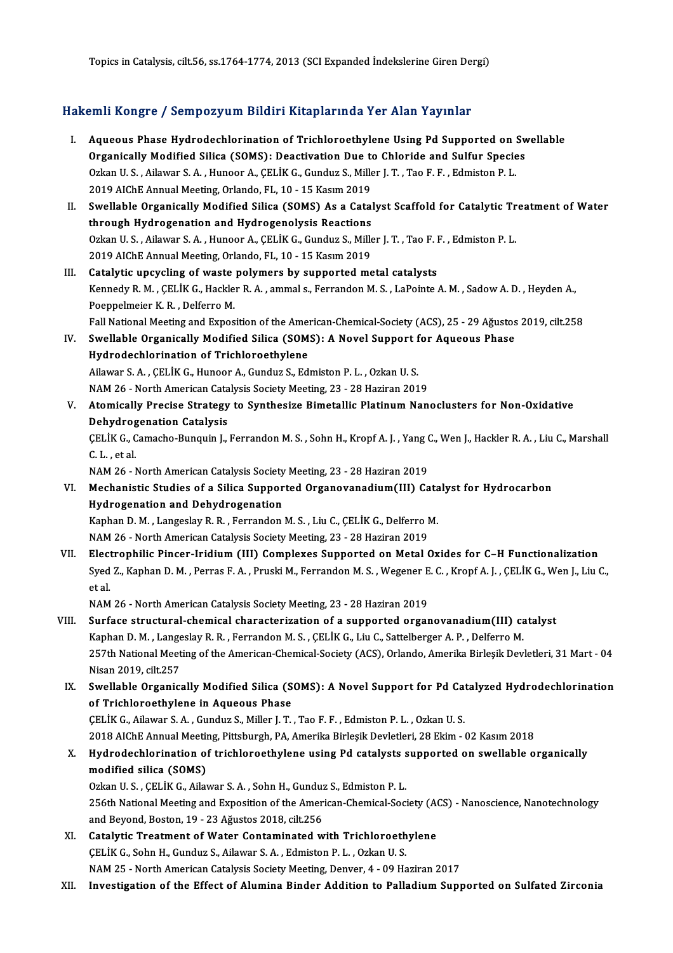Topics in Catalysis, cilt.56, ss.1764-1774, 2013 (SCI Expanded İndekslerine Giren Dergi)

# 10pks in Catalysis, clit.56, ss.1764-1774, 2013 (SCI Expanded Indeksierine Giren Del<br>Hakemli Kongre / Sempozyum Bildiri Kitaplarında Yer Alan Yayınlar

| Hakemli Kongre / Sempozyum Bildiri Kitaplarında Yer Alan Yayınlar |                                                                                                                                                                               |
|-------------------------------------------------------------------|-------------------------------------------------------------------------------------------------------------------------------------------------------------------------------|
| L.                                                                | Aqueous Phase Hydrodechlorination of Trichloroethylene Using Pd Supported on Swellable<br>Organically Modified Silica (SOMS): Deactivation Due to Chloride and Sulfur Species |
|                                                                   | Ozkan U.S., Ailawar S.A., Hunoor A., ÇELİK G., Gunduz S., Miller J.T., Tao F.F., Edmiston P.L.                                                                                |
|                                                                   | 2019 AIChE Annual Meeting, Orlando, FL, 10 - 15 Kasım 2019                                                                                                                    |
| Н.                                                                | Swellable Organically Modified Silica (SOMS) As a Catalyst Scaffold for Catalytic Treatment of Water                                                                          |
|                                                                   | through Hydrogenation and Hydrogenolysis Reactions                                                                                                                            |
|                                                                   | Ozkan U.S., Ailawar S.A., Hunoor A., ÇELİK G., Gunduz S., Miller J.T., Tao F.F., Edmiston P.L.<br>2019 AIChE Annual Meeting, Orlando, FL, 10 - 15 Kasım 2019                  |
| Ш.                                                                | Catalytic upcycling of waste polymers by supported metal catalysts                                                                                                            |
|                                                                   | Kennedy R. M., ÇELİK G., Hackler R. A., ammal s., Ferrandon M. S., LaPointe A. M., Sadow A. D., Heyden A.,                                                                    |
|                                                                   | Poeppelmeier K. R., Delferro M.                                                                                                                                               |
|                                                                   | Fall National Meeting and Exposition of the American-Chemical-Society (ACS), 25 - 29 Ağustos 2019, cilt.258                                                                   |
| IV.                                                               | Swellable Organically Modified Silica (SOMS): A Novel Support for Aqueous Phase                                                                                               |
|                                                                   | Hydrodechlorination of Trichloroethylene                                                                                                                                      |
|                                                                   | Ailawar S. A., ÇELİK G., Hunoor A., Gunduz S., Edmiston P. L., Ozkan U. S.                                                                                                    |
|                                                                   | NAM 26 - North American Catalysis Society Meeting, 23 - 28 Haziran 2019                                                                                                       |
| V.                                                                | Atomically Precise Strategy to Synthesize Bimetallic Platinum Nanoclusters for Non-Oxidative                                                                                  |
|                                                                   | <b>Dehydrogenation Catalysis</b>                                                                                                                                              |
|                                                                   | ÇELİK G., Camacho-Bunquin J., Ferrandon M. S., Sohn H., Kropf A. J., Yang C., Wen J., Hackler R. A., Liu C., Marshall                                                         |
|                                                                   | C.L., et al.                                                                                                                                                                  |
|                                                                   | NAM 26 - North American Catalysis Society Meeting, 23 - 28 Haziran 2019                                                                                                       |
| VI.                                                               | Mechanistic Studies of a Silica Supported Organovanadium(III) Catalyst for Hydrocarbon                                                                                        |
|                                                                   | Hydrogenation and Dehydrogenation                                                                                                                                             |
|                                                                   | Kaphan D. M., Langeslay R. R., Ferrandon M. S., Liu C., ÇELİK G., Delferro M.                                                                                                 |
|                                                                   | NAM 26 - North American Catalysis Society Meeting, 23 - 28 Haziran 2019                                                                                                       |
| VII.                                                              | Electrophilic Pincer-Iridium (III) Complexes Supported on Metal Oxides for C-H Functionalization                                                                              |
|                                                                   | Syed Z., Kaphan D. M., Perras F. A., Pruski M., Ferrandon M. S., Wegener E. C., Kropf A. J., ÇELİK G., Wen J., Liu C.,<br>et al.                                              |
|                                                                   | NAM 26 - North American Catalysis Society Meeting, 23 - 28 Haziran 2019                                                                                                       |
| VIII.                                                             | Surface structural-chemical characterization of a supported organovanadium(III) catalyst                                                                                      |
|                                                                   | Kaphan D. M., Langeslay R. R., Ferrandon M. S., ÇELİK G., Liu C., Sattelberger A. P., Delferro M.                                                                             |
|                                                                   | 257th National Meeting of the American-Chemical-Society (ACS), Orlando, Amerika Birleşik Devletleri, 31 Mart - 04                                                             |
|                                                                   | Nisan 2019, cilt 257                                                                                                                                                          |
| IX.                                                               | Swellable Organically Modified Silica (SOMS): A Novel Support for Pd Catalyzed Hydrodechlorination                                                                            |
|                                                                   | of Trichloroethylene in Aqueous Phase                                                                                                                                         |
|                                                                   | CELIK G., Ailawar S. A., Gunduz S., Miller J. T., Tao F. F., Edmiston P. L., Ozkan U. S.                                                                                      |
|                                                                   | 2018 AIChE Annual Meeting, Pittsburgh, PA, Amerika Birleşik Devletleri, 28 Ekim - 02 Kasım 2018                                                                               |
| X.                                                                | Hydrodechlorination of trichloroethylene using Pd catalysts supported on swellable organically                                                                                |
|                                                                   | modified silica (SOMS)                                                                                                                                                        |
|                                                                   | Ozkan U.S., ÇELİK G., Ailawar S.A., Sohn H., Gunduz S., Edmiston P.L.                                                                                                         |
|                                                                   | 256th National Meeting and Exposition of the American-Chemical-Society (ACS) - Nanoscience, Nanotechnology                                                                    |
|                                                                   | and Beyond, Boston, 19 - 23 Ağustos 2018, cilt.256                                                                                                                            |
| XI.                                                               | Catalytic Treatment of Water Contaminated with Trichloroethylene                                                                                                              |
|                                                                   | CELIK G., Sohn H., Gunduz S., Ailawar S. A., Edmiston P. L., Ozkan U. S.                                                                                                      |
|                                                                   | NAM 25 - North American Catalysis Society Meeting, Denver, 4 - 09 Haziran 2017                                                                                                |

XII. Investigation of the Effect of Alumina Binder Addition to Palladium Supported on Sulfated Zirconia